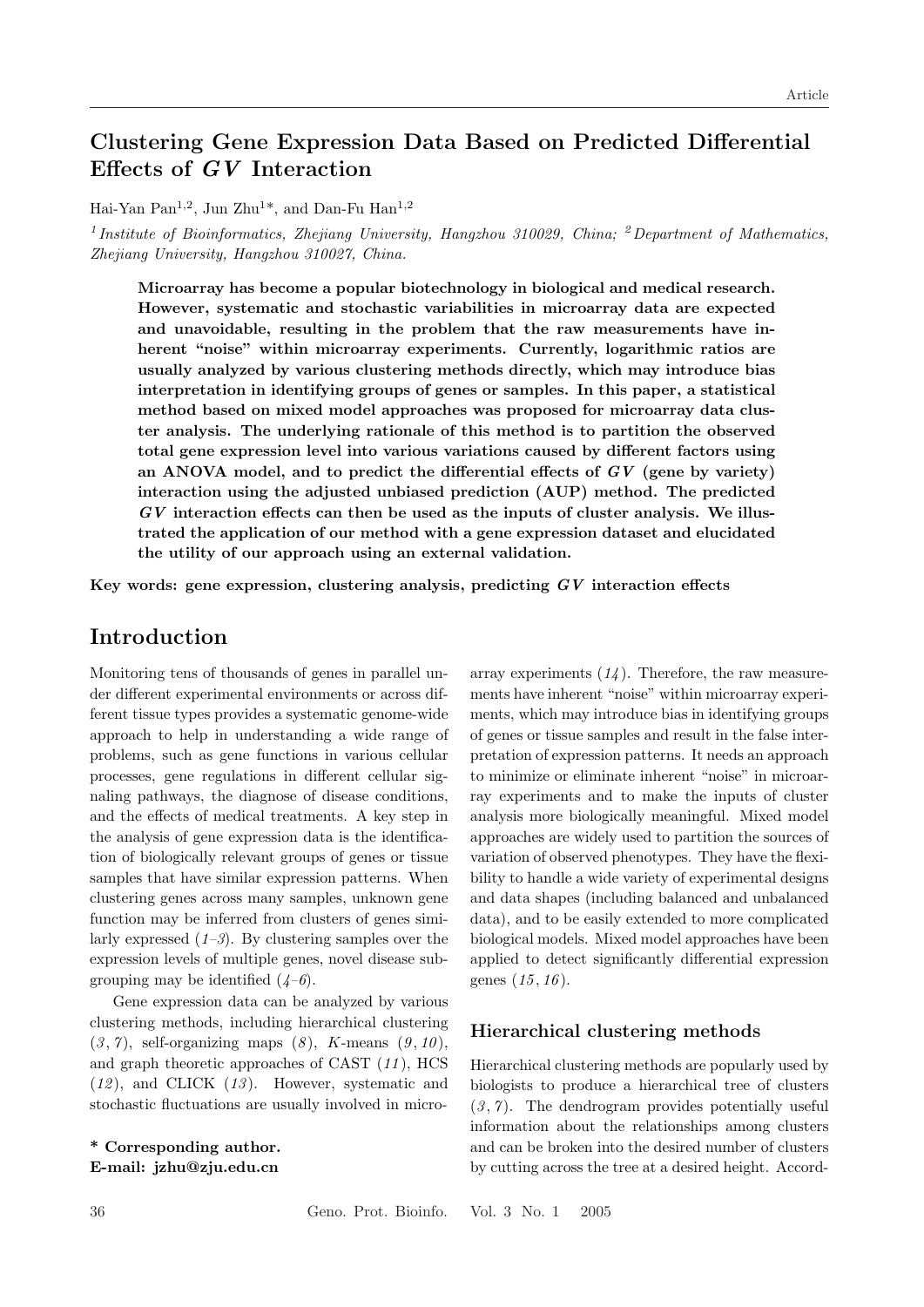# Clustering Gene Expression Data Based on Predicted Differential Effects of GV Interaction

Hai-Yan Pan<sup>1,2</sup>, Jun Zhu<sup>1\*</sup>, and Dan-Fu Han<sup>1,2</sup>

<sup>1</sup> Institute of Bioinformatics, Zhejiang University, Hangzhou 310029, China; <sup>2</sup> Department of Mathematics, Zhejiang University, Hangzhou 310027, China.

Microarray has become a popular biotechnology in biological and medical research. However, systematic and stochastic variabilities in microarray data are expected and unavoidable, resulting in the problem that the raw measurements have inherent "noise" within microarray experiments. Currently, logarithmic ratios are usually analyzed by various clustering methods directly, which may introduce bias interpretation in identifying groups of genes or samples. In this paper, a statistical method based on mixed model approaches was proposed for microarray data cluster analysis. The underlying rationale of this method is to partition the observed total gene expression level into various variations caused by different factors using an ANOVA model, and to predict the differential effects of  $GV$  (gene by variety) interaction using the adjusted unbiased prediction (AUP) method. The predicted GV interaction effects can then be used as the inputs of cluster analysis. We illustrated the application of our method with a gene expression dataset and elucidated the utility of our approach using an external validation.

Key words: gene expression, clustering analysis, predicting  $GV$  interaction effects

## Introduction

Monitoring tens of thousands of genes in parallel under different experimental environments or across different tissue types provides a systematic genome-wide approach to help in understanding a wide range of problems, such as gene functions in various cellular processes, gene regulations in different cellular signaling pathways, the diagnose of disease conditions, and the effects of medical treatments. A key step in the analysis of gene expression data is the identification of biologically relevant groups of genes or tissue samples that have similar expression patterns. When clustering genes across many samples, unknown gene function may be inferred from clusters of genes similarly expressed  $(1-3)$ . By clustering samples over the expression levels of multiple genes, novel disease subgrouping may be identified  $(4-6)$ .

Gene expression data can be analyzed by various clustering methods, including hierarchical clustering  $(3, 7)$ , self-organizing maps  $(8)$ , K-means  $(9, 10)$ , and graph theoretic approaches of CAST (11 ), HCS  $(12)$ , and CLICK  $(13)$ . However, systematic and stochastic fluctuations are usually involved in micro-

\* Corresponding author. E-mail: jzhu@zju.edu.cn

array experiments  $(14)$ . Therefore, the raw measurements have inherent "noise" within microarray experiments, which may introduce bias in identifying groups of genes or tissue samples and result in the false interpretation of expression patterns. It needs an approach to minimize or eliminate inherent "noise" in microarray experiments and to make the inputs of cluster analysis more biologically meaningful. Mixed model approaches are widely used to partition the sources of variation of observed phenotypes. They have the flexibility to handle a wide variety of experimental designs and data shapes (including balanced and unbalanced data), and to be easily extended to more complicated biological models. Mixed model approaches have been applied to detect significantly differential expression genes (15, 16).

### Hierarchical clustering methods

Hierarchical clustering methods are popularly used by biologists to produce a hierarchical tree of clusters  $(3, 7)$ . The dendrogram provides potentially useful information about the relationships among clusters and can be broken into the desired number of clusters by cutting across the tree at a desired height. Accord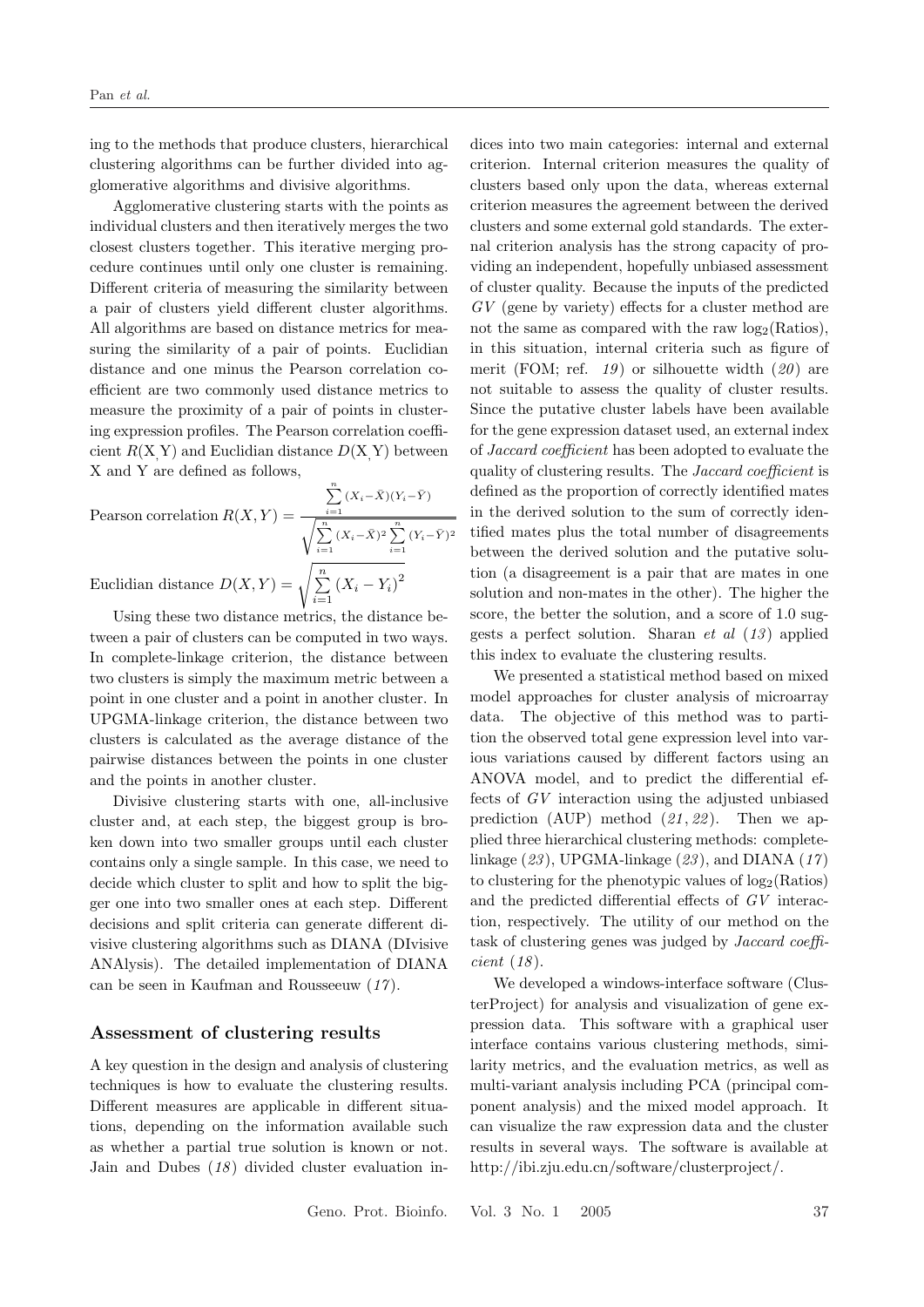ing to the methods that produce clusters, hierarchical clustering algorithms can be further divided into agglomerative algorithms and divisive algorithms.

Agglomerative clustering starts with the points as individual clusters and then iteratively merges the two closest clusters together. This iterative merging procedure continues until only one cluster is remaining. Different criteria of measuring the similarity between a pair of clusters yield different cluster algorithms. All algorithms are based on distance metrics for measuring the similarity of a pair of points. Euclidian distance and one minus the Pearson correlation coefficient are two commonly used distance metrics to measure the proximity of a pair of points in clustering expression profiles. The Pearson correlation coefficient  $R(X, Y)$  and Euclidian distance  $D(X, Y)$  between X and Y are defined as follows,

Pearson correlation 
$$
R(X, Y) = \frac{\sum\limits_{i=1}^{n} (X_i - \bar{X})(Y_i - \bar{Y})}{\sqrt{\sum\limits_{i=1}^{n} (X_i - \bar{X})^2 \sum\limits_{i=1}^{n} (Y_i - \bar{Y})^2}}
$$
  
Euclidean distance  $D(X, Y) = \sqrt{\sum\limits_{i=1}^{n} (X_i - Y_i)^2}$ 

Using these two distance metrics, the distance between a pair of clusters can be computed in two ways. In complete-linkage criterion, the distance between two clusters is simply the maximum metric between a point in one cluster and a point in another cluster. In UPGMA-linkage criterion, the distance between two clusters is calculated as the average distance of the pairwise distances between the points in one cluster and the points in another cluster.

Divisive clustering starts with one, all-inclusive cluster and, at each step, the biggest group is broken down into two smaller groups until each cluster contains only a single sample. In this case, we need to decide which cluster to split and how to split the bigger one into two smaller ones at each step. Different decisions and split criteria can generate different divisive clustering algorithms such as DIANA (DIvisive ANAlysis). The detailed implementation of DIANA can be seen in Kaufman and Rousseeuw (17 ).

### Assessment of clustering results

A key question in the design and analysis of clustering techniques is how to evaluate the clustering results. Different measures are applicable in different situations, depending on the information available such as whether a partial true solution is known or not. Jain and Dubes  $(18)$  divided cluster evaluation indices into two main categories: internal and external criterion. Internal criterion measures the quality of clusters based only upon the data, whereas external criterion measures the agreement between the derived clusters and some external gold standards. The external criterion analysis has the strong capacity of providing an independent, hopefully unbiased assessment of cluster quality. Because the inputs of the predicted GV (gene by variety) effects for a cluster method are not the same as compared with the raw  $log_2(Ratios)$ , in this situation, internal criteria such as figure of merit (FOM; ref. 19) or silhouette width  $(20)$  are not suitable to assess the quality of cluster results. Since the putative cluster labels have been available for the gene expression dataset used, an external index of Jaccard coefficient has been adopted to evaluate the quality of clustering results. The Jaccard coefficient is defined as the proportion of correctly identified mates in the derived solution to the sum of correctly identified mates plus the total number of disagreements between the derived solution and the putative solution (a disagreement is a pair that are mates in one solution and non-mates in the other). The higher the score, the better the solution, and a score of 1.0 suggests a perfect solution. Sharan  $et \ al \ (13)$  applied this index to evaluate the clustering results.

We presented a statistical method based on mixed model approaches for cluster analysis of microarray data. The objective of this method was to partition the observed total gene expression level into various variations caused by different factors using an ANOVA model, and to predict the differential effects of GV interaction using the adjusted unbiased prediction (AUP) method  $(21, 22)$ . Then we applied three hierarchical clustering methods: completelinkage  $(23)$ , UPGMA-linkage  $(23)$ , and DIANA  $(17)$ to clustering for the phenotypic values of  $log_2(Ratios)$ and the predicted differential effects of GV interaction, respectively. The utility of our method on the task of clustering genes was judged by Jaccard coefficient  $(18)$ .

We developed a windows-interface software (ClusterProject) for analysis and visualization of gene expression data. This software with a graphical user interface contains various clustering methods, similarity metrics, and the evaluation metrics, as well as multi-variant analysis including PCA (principal component analysis) and the mixed model approach. It can visualize the raw expression data and the cluster results in several ways. The software is available at http://ibi.zju.edu.cn/software/clusterproject/.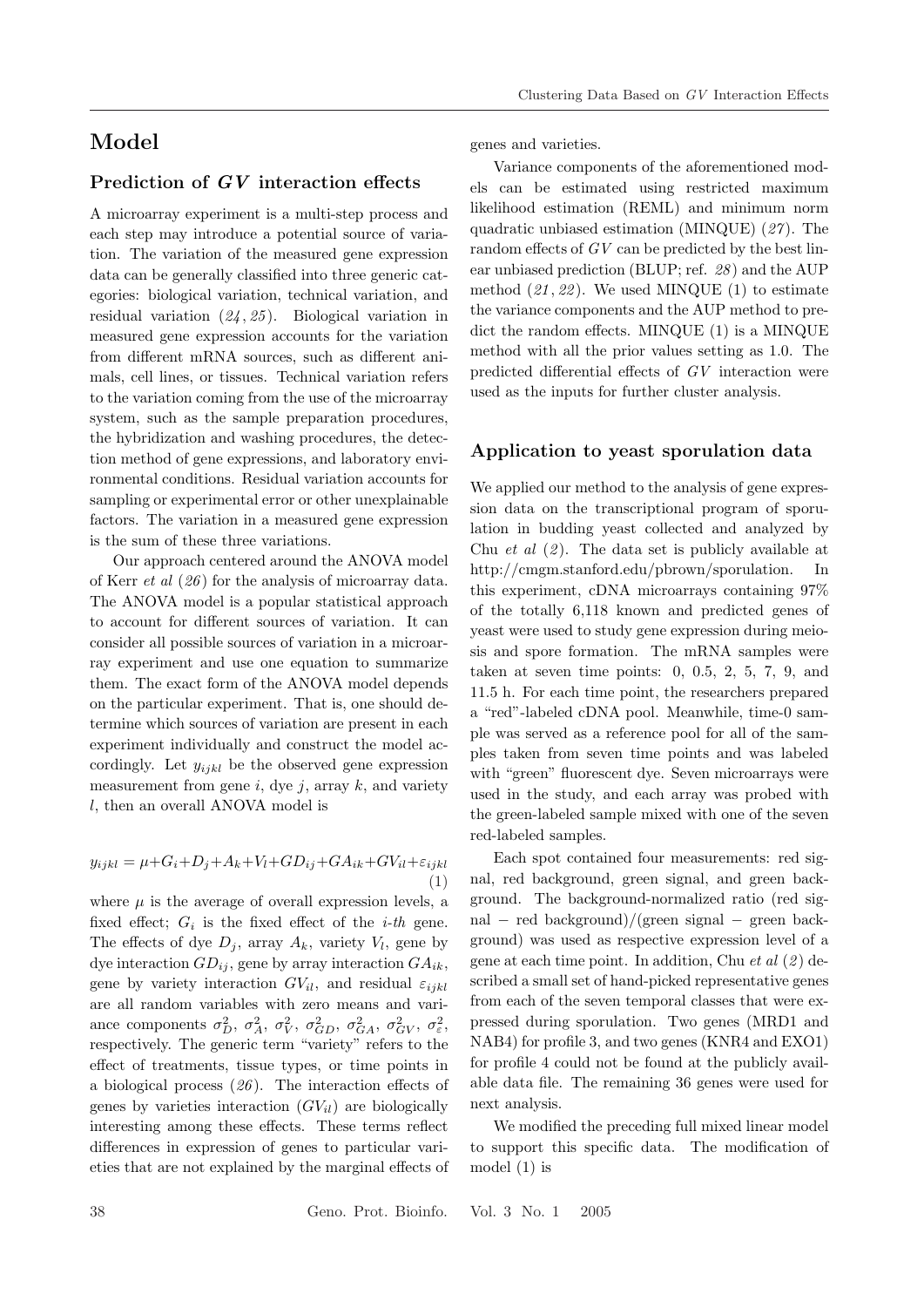# Model

### Prediction of GV interaction effects

A microarray experiment is a multi-step process and each step may introduce a potential source of variation. The variation of the measured gene expression data can be generally classified into three generic categories: biological variation, technical variation, and residual variation  $(24, 25)$ . Biological variation in measured gene expression accounts for the variation from different mRNA sources, such as different animals, cell lines, or tissues. Technical variation refers to the variation coming from the use of the microarray system, such as the sample preparation procedures, the hybridization and washing procedures, the detection method of gene expressions, and laboratory environmental conditions. Residual variation accounts for sampling or experimental error or other unexplainable factors. The variation in a measured gene expression is the sum of these three variations.

Our approach centered around the ANOVA model of Kerr et al (26 ) for the analysis of microarray data. The ANOVA model is a popular statistical approach to account for different sources of variation. It can consider all possible sources of variation in a microarray experiment and use one equation to summarize them. The exact form of the ANOVA model depends on the particular experiment. That is, one should determine which sources of variation are present in each experiment individually and construct the model accordingly. Let  $y_{ijkl}$  be the observed gene expression measurement from gene  $i$ , dye  $j$ , array  $k$ , and variety l, then an overall ANOVA model is

$$
y_{ijkl} = \mu + G_i + D_j + A_k + V_l + GD_{ij} + GA_{ik} + GV_{il} + \varepsilon_{ijkl}
$$
\n
$$
\tag{1}
$$

where  $\mu$  is the average of overall expression levels, a fixed effect;  $G_i$  is the fixed effect of the *i-th* gene. The effects of dye  $D_j$ , array  $A_k$ , variety  $V_l$ , gene by dye interaction  $GD_{ij}$ , gene by array interaction  $GA_{ik}$ , gene by variety interaction  $GV_{il}$ , and residual  $\varepsilon_{ijkl}$ are all random variables with zero means and variance components  $\sigma_B^2$ ,  $\sigma_A^2$ ,  $\sigma_V^2$ ,  $\sigma_{GD}^2$ ,  $\sigma_{GA}^2$ ,  $\sigma_{GV}^2$ ,  $\sigma_{\varepsilon}^2$ , respectively. The generic term "variety" refers to the effect of treatments, tissue types, or time points in a biological process  $(26)$ . The interaction effects of genes by varieties interaction  $(GV_{il})$  are biologically interesting among these effects. These terms reflect differences in expression of genes to particular varieties that are not explained by the marginal effects of genes and varieties.

Variance components of the aforementioned models can be estimated using restricted maximum likelihood estimation (REML) and minimum norm quadratic unbiased estimation (MINQUE) (27 ). The random effects of GV can be predicted by the best linear unbiased prediction (BLUP; ref. 28 ) and the AUP method  $(21, 22)$ . We used MINQUE  $(1)$  to estimate the variance components and the AUP method to predict the random effects. MINQUE (1) is a MINQUE method with all the prior values setting as 1.0. The predicted differential effects of GV interaction were used as the inputs for further cluster analysis.

### Application to yeast sporulation data

We applied our method to the analysis of gene expression data on the transcriptional program of sporulation in budding yeast collected and analyzed by Chu et al  $(2)$ . The data set is publicly available at http://cmgm.stanford.edu/pbrown/sporulation. In this experiment, cDNA microarrays containing 97% of the totally 6,118 known and predicted genes of yeast were used to study gene expression during meiosis and spore formation. The mRNA samples were taken at seven time points: 0, 0.5, 2, 5, 7, 9, and 11.5 h. For each time point, the researchers prepared a "red"-labeled cDNA pool. Meanwhile, time-0 sample was served as a reference pool for all of the samples taken from seven time points and was labeled with "green" fluorescent dye. Seven microarrays were used in the study, and each array was probed with the green-labeled sample mixed with one of the seven red-labeled samples.

Each spot contained four measurements: red signal, red background, green signal, and green background. The background-normalized ratio (red signal − red background)/(green signal − green background) was used as respective expression level of a gene at each time point. In addition, Chu et al  $(2)$  described a small set of hand-picked representative genes from each of the seven temporal classes that were expressed during sporulation. Two genes (MRD1 and NAB4) for profile 3, and two genes (KNR4 and EXO1) for profile 4 could not be found at the publicly available data file. The remaining 36 genes were used for next analysis.

We modified the preceding full mixed linear model to support this specific data. The modification of model (1) is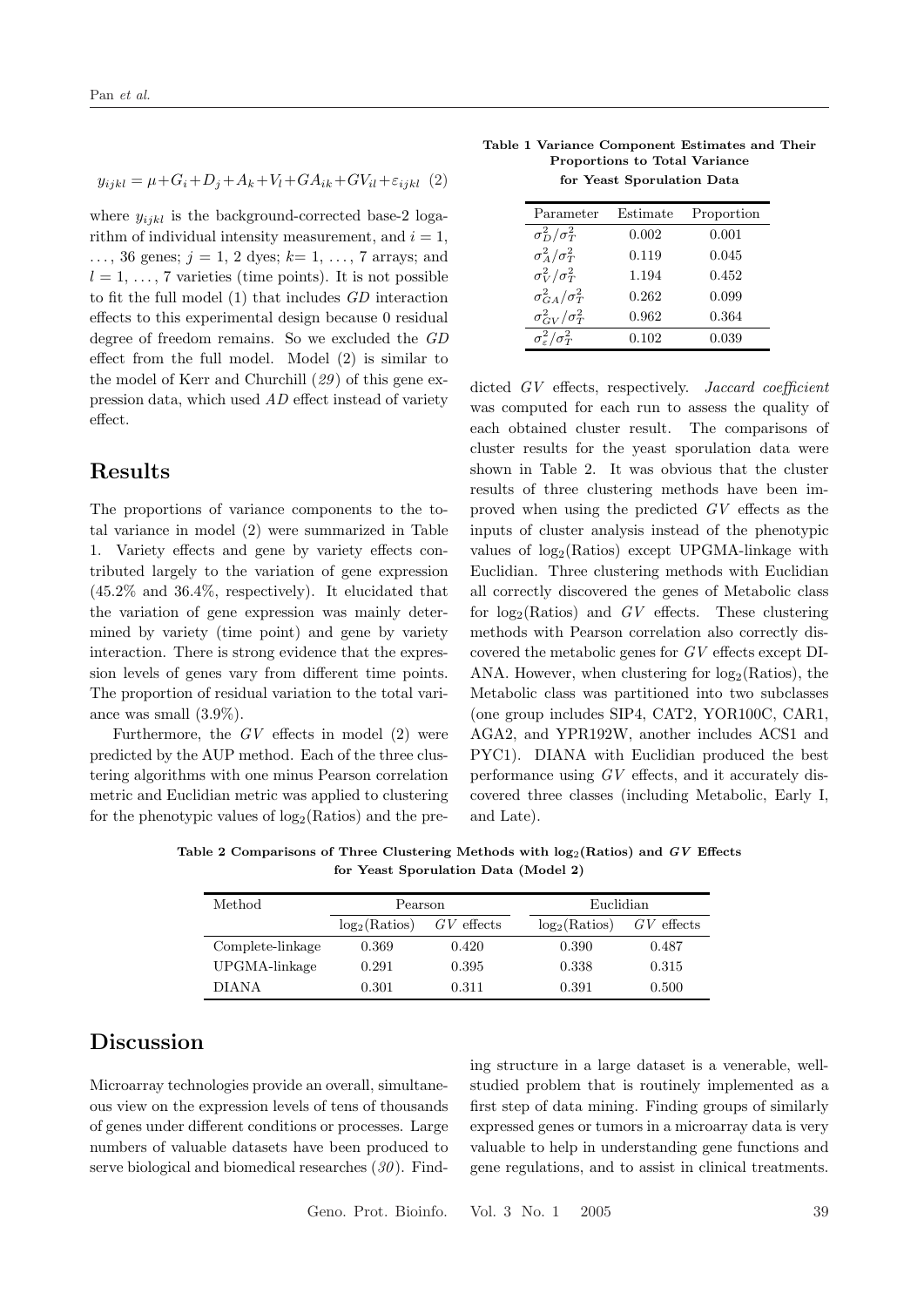$$
y_{ijkl} = \mu + G_i + D_j + A_k + V_l + GA_{ik} + GV_{il} + \varepsilon_{ijkl} \tag{2}
$$

where  $y_{ijkl}$  is the background-corrected base-2 logarithm of individual intensity measurement, and  $i = 1$ ,  $\ldots$ , 36 genes;  $j = 1, 2$  dyes;  $k = 1, \ldots, 7$  arrays; and  $l = 1, \ldots, 7$  varieties (time points). It is not possible to fit the full model (1) that includes GD interaction effects to this experimental design because 0 residual degree of freedom remains. So we excluded the GD effect from the full model. Model (2) is similar to the model of Kerr and Churchill  $(29)$  of this gene expression data, which used AD effect instead of variety effect.

## Results

The proportions of variance components to the total variance in model (2) were summarized in Table 1. Variety effects and gene by variety effects contributed largely to the variation of gene expression (45.2% and 36.4%, respectively). It elucidated that the variation of gene expression was mainly determined by variety (time point) and gene by variety interaction. There is strong evidence that the expression levels of genes vary from different time points. The proportion of residual variation to the total variance was small (3.9%).

Furthermore, the  $GV$  effects in model  $(2)$  were predicted by the AUP method. Each of the three clustering algorithms with one minus Pearson correlation metric and Euclidian metric was applied to clustering for the phenotypic values of  $log_2(Ratios)$  and the pre-

Table 1 Variance Component Estimates and Their Proportions to Total Variance for Yeast Sporulation Data

| Parameter                             | Estimate | Proportion |
|---------------------------------------|----------|------------|
| $\sigma_D^2/\sigma_T^2$               | 0.002    | 0.001      |
| $\sigma_A^2/\sigma_T^2$               | 0.119    | 0.045      |
| $\sigma_V^2/\sigma_T^2$               | 1.194    | 0.452      |
| $\sigma_{GA}^2/\sigma_T^2$            | 0.262    | 0.099      |
| $\sigma_{GV}^2/\sigma_T^2$            | 0.962    | 0.364      |
| $\sigma_{\varepsilon}^2/\sigma_{T}^2$ | 0.102    | 0.039      |

dicted GV effects, respectively. Jaccard coefficient was computed for each run to assess the quality of each obtained cluster result. The comparisons of cluster results for the yeast sporulation data were shown in Table 2. It was obvious that the cluster results of three clustering methods have been improved when using the predicted GV effects as the inputs of cluster analysis instead of the phenotypic values of  $log_2(Ratios)$  except UPGMA-linkage with Euclidian. Three clustering methods with Euclidian all correctly discovered the genes of Metabolic class for  $log_2(Ratios)$  and GV effects. These clustering methods with Pearson correlation also correctly discovered the metabolic genes for GV effects except DI-ANA. However, when clustering for  $log_2(Ratios)$ , the Metabolic class was partitioned into two subclasses (one group includes SIP4, CAT2, YOR100C, CAR1, AGA2, and YPR192W, another includes ACS1 and PYC1). DIANA with Euclidian produced the best performance using GV effects, and it accurately discovered three classes (including Metabolic, Early I, and Late).

Table 2 Comparisons of Three Clustering Methods with  $log_2(Ratios)$  and GV Effects for Yeast Sporulation Data (Model 2)

| Method           | Pearson         |              |                 | Euclidian    |  |
|------------------|-----------------|--------------|-----------------|--------------|--|
|                  | $log_2(Ratios)$ | $GV$ effects | $log_2(Ratios)$ | $GV$ effects |  |
| Complete-linkage | 0.369           | 0.420        | 0.390           | 0.487        |  |
| UPGMA-linkage    | 0.291           | 0.395        | 0.338           | 0.315        |  |
| <b>DIANA</b>     | 0.301           | 0.311        | 0.391           | 0.500        |  |

## Discussion

Microarray technologies provide an overall, simultaneous view on the expression levels of tens of thousands of genes under different conditions or processes. Large numbers of valuable datasets have been produced to serve biological and biomedical researches  $(30)$ . Finding structure in a large dataset is a venerable, wellstudied problem that is routinely implemented as a first step of data mining. Finding groups of similarly expressed genes or tumors in a microarray data is very valuable to help in understanding gene functions and gene regulations, and to assist in clinical treatments.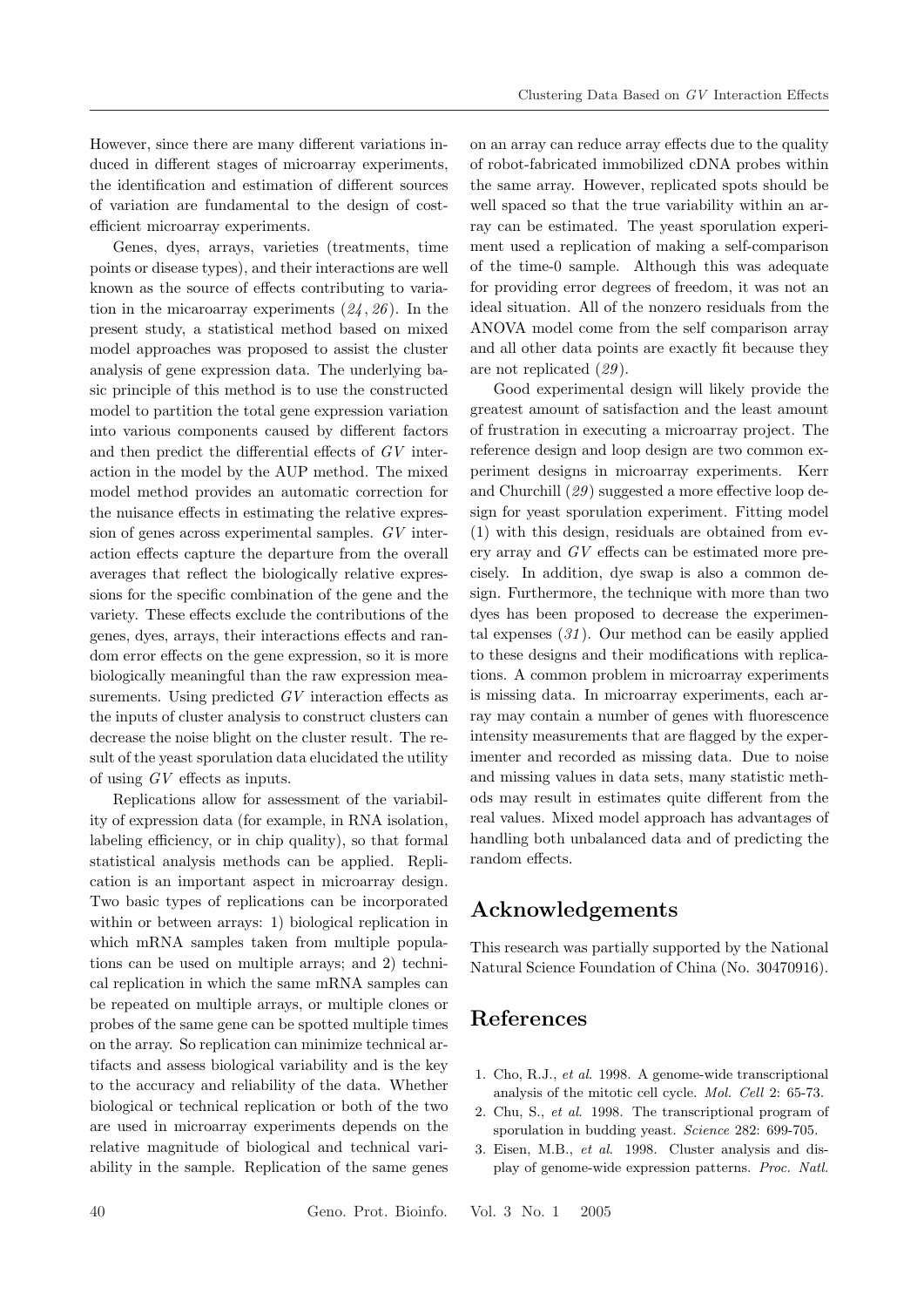However, since there are many different variations induced in different stages of microarray experiments, the identification and estimation of different sources of variation are fundamental to the design of costefficient microarray experiments.

Genes, dyes, arrays, varieties (treatments, time points or disease types), and their interactions are well known as the source of effects contributing to variation in the micaroarray experiments  $(24, 26)$ . In the present study, a statistical method based on mixed model approaches was proposed to assist the cluster analysis of gene expression data. The underlying basic principle of this method is to use the constructed model to partition the total gene expression variation into various components caused by different factors and then predict the differential effects of GV interaction in the model by the AUP method. The mixed model method provides an automatic correction for the nuisance effects in estimating the relative expression of genes across experimental samples. GV interaction effects capture the departure from the overall averages that reflect the biologically relative expressions for the specific combination of the gene and the variety. These effects exclude the contributions of the genes, dyes, arrays, their interactions effects and random error effects on the gene expression, so it is more biologically meaningful than the raw expression measurements. Using predicted GV interaction effects as the inputs of cluster analysis to construct clusters can decrease the noise blight on the cluster result. The result of the yeast sporulation data elucidated the utility of using GV effects as inputs.

Replications allow for assessment of the variability of expression data (for example, in RNA isolation, labeling efficiency, or in chip quality), so that formal statistical analysis methods can be applied. Replication is an important aspect in microarray design. Two basic types of replications can be incorporated within or between arrays: 1) biological replication in which mRNA samples taken from multiple populations can be used on multiple arrays; and 2) technical replication in which the same mRNA samples can be repeated on multiple arrays, or multiple clones or probes of the same gene can be spotted multiple times on the array. So replication can minimize technical artifacts and assess biological variability and is the key to the accuracy and reliability of the data. Whether biological or technical replication or both of the two are used in microarray experiments depends on the relative magnitude of biological and technical variability in the sample. Replication of the same genes

Acknowledgements This research was partially supported by the National Natural Science Foundation of China (No. 30470916).

# References

- 1. Cho, R.J., et al. 1998. A genome-wide transcriptional analysis of the mitotic cell cycle. Mol. Cell 2: 65-73.
- 2. Chu, S., et al. 1998. The transcriptional program of sporulation in budding yeast. Science 282: 699-705.
- 3. Eisen, M.B., et al. 1998. Cluster analysis and display of genome-wide expression patterns. Proc. Natl.

40 Geno. Prot. Bioinfo. Vol. 3 No. 1 2005

on an array can reduce array effects due to the quality of robot-fabricated immobilized cDNA probes within the same array. However, replicated spots should be well spaced so that the true variability within an array can be estimated. The yeast sporulation experiment used a replication of making a self-comparison of the time-0 sample. Although this was adequate for providing error degrees of freedom, it was not an ideal situation. All of the nonzero residuals from the ANOVA model come from the self comparison array and all other data points are exactly fit because they are not replicated  $(29)$ .

Good experimental design will likely provide the greatest amount of satisfaction and the least amount of frustration in executing a microarray project. The reference design and loop design are two common experiment designs in microarray experiments. Kerr and Churchill (29 ) suggested a more effective loop design for yeast sporulation experiment. Fitting model (1) with this design, residuals are obtained from every array and GV effects can be estimated more precisely. In addition, dye swap is also a common design. Furthermore, the technique with more than two dyes has been proposed to decrease the experimental expenses  $(31)$ . Our method can be easily applied to these designs and their modifications with replications. A common problem in microarray experiments is missing data. In microarray experiments, each array may contain a number of genes with fluorescence intensity measurements that are flagged by the experimenter and recorded as missing data. Due to noise and missing values in data sets, many statistic methods may result in estimates quite different from the real values. Mixed model approach has advantages of handling both unbalanced data and of predicting the random effects.